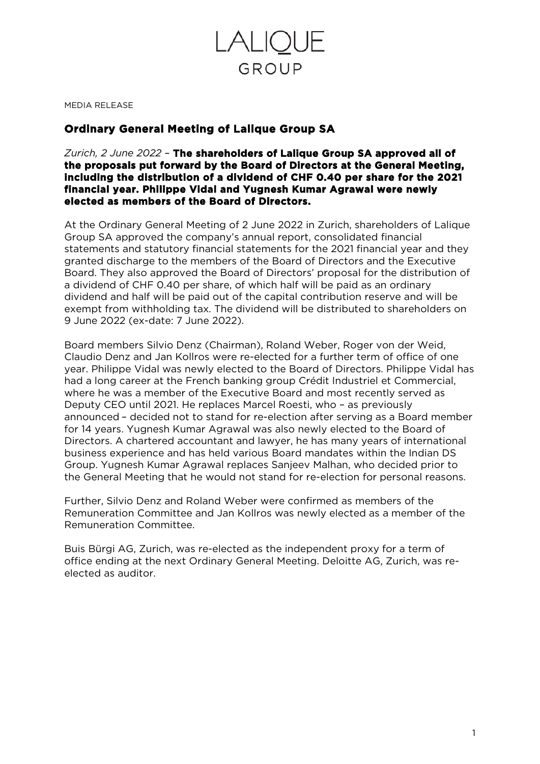

MEDIA RELEASE

## **Ordinary General Meeting of Lalique Group SA**

*Zurich, 2 June 2022 –* **The shareholders of Lalique Group SA approved all of the proposals put forward by the Board of Directors at the General Meeting, including the distribution of a dividend of CHF 0.40 per share for the 2021 financial year. Philippe Vidal and Yugnesh Kumar Agrawal were newly elected as members of the Board of Directors.** 

At the Ordinary General Meeting of 2 June 2022 in Zurich, shareholders of Lalique Group SA approved the company's annual report, consolidated financial statements and statutory financial statements for the 2021 financial year and they granted discharge to the members of the Board of Directors and the Executive Board. They also approved the Board of Directors' proposal for the distribution of a dividend of CHF 0.40 per share, of which half will be paid as an ordinary dividend and half will be paid out of the capital contribution reserve and will be exempt from withholding tax. The dividend will be distributed to shareholders on 9 June 2022 (ex-date: 7 June 2022).

Board members Silvio Denz (Chairman), Roland Weber, Roger von der Weid, Claudio Denz and Jan Kollros were re-elected for a further term of office of one year. Philippe Vidal was newly elected to the Board of Directors. Philippe Vidal has had a long career at the French banking group Crédit Industriel et Commercial, where he was a member of the Executive Board and most recently served as Deputy CEO until 2021. He replaces Marcel Roesti, who – as previously announced – decided not to stand for re-election after serving as a Board member for 14 years. Yugnesh Kumar Agrawal was also newly elected to the Board of Directors. A chartered accountant and lawyer, he has many years of international business experience and has held various Board mandates within the Indian DS Group. Yugnesh Kumar Agrawal replaces Sanjeev Malhan, who decided prior to the General Meeting that he would not stand for re-election for personal reasons.

Further, Silvio Denz and Roland Weber were confirmed as members of the Remuneration Committee and Jan Kollros was newly elected as a member of the Remuneration Committee.

Buis Bürgi AG, Zurich, was re-elected as the independent proxy for a term of office ending at the next Ordinary General Meeting. Deloitte AG, Zurich, was reelected as auditor.